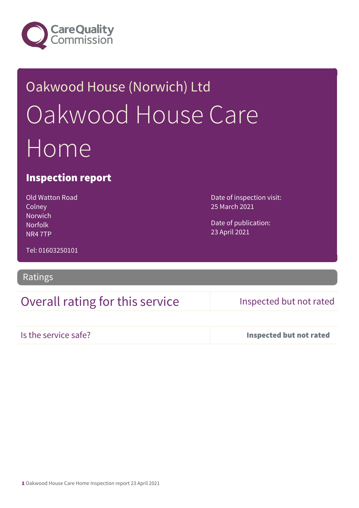

# Oakwood House (Norwich) Ltd Oakwood House Care Home

#### Inspection report

Old Watton Road **Colney** Norwich Norfolk NR4 7TP

Date of inspection visit: 25 March 2021

Date of publication: 23 April 2021

Tel: 01603250101

#### Ratings

### Overall rating for this service Inspected but not rated

|  |  | Is the service safe? |  |  |  |
|--|--|----------------------|--|--|--|
|  |  |                      |  |  |  |
|  |  |                      |  |  |  |
|  |  |                      |  |  |  |

Inspected but not rated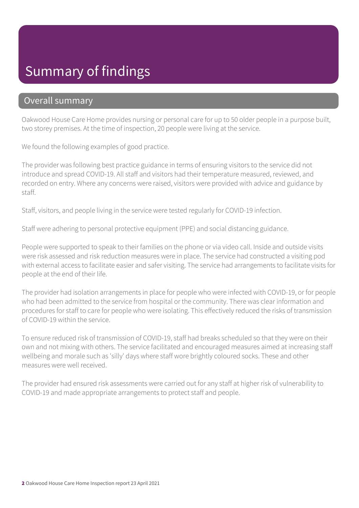## Summary of findings

#### Overall summary

Oakwood House Care Home provides nursing or personal care for up to 50 older people in a purpose built, two storey premises. At the time of inspection, 20 people were living at the service.

We found the following examples of good practice.

The provider was following best practice guidance in terms of ensuring visitors to the service did not introduce and spread COVID-19. All staff and visitors had their temperature measured, reviewed, and recorded on entry. Where any concerns were raised, visitors were provided with advice and guidance by staff.

Staff, visitors, and people living in the service were tested regularly for COVID-19 infection.

Staff were adhering to personal protective equipment (PPE) and social distancing guidance.

People were supported to speak to their families on the phone or via video call. Inside and outside visits were risk assessed and risk reduction measures were in place. The service had constructed a visiting pod with external access to facilitate easier and safer visiting. The service had arrangements to facilitate visits for people at the end of their life.

The provider had isolation arrangements in place for people who were infected with COVID-19, or for people who had been admitted to the service from hospital or the community. There was clear information and procedures for staff to care for people who were isolating. This effectively reduced the risks of transmission of COVID-19 within the service.

To ensure reduced risk of transmission of COVID-19, staff had breaks scheduled so that they were on their own and not mixing with others. The service facilitated and encouraged measures aimed at increasing staff wellbeing and morale such as 'silly' days where staff wore brightly coloured socks. These and other measures were well received.

The provider had ensured risk assessments were carried out for any staff at higher risk of vulnerability to COVID-19 and made appropriate arrangements to protect staff and people.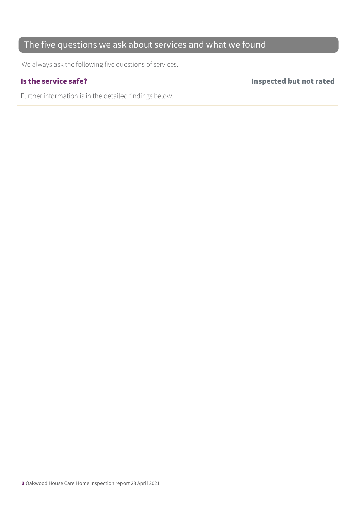#### The five questions we ask about services and what we found

We always ask the following five questions of services.

Further information is in the detailed findings below.

Is the service safe? Inspected but not rated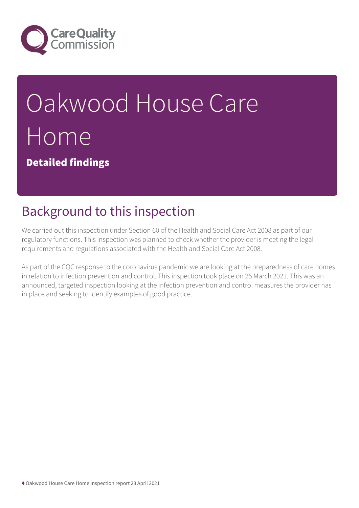

# Oakwood House Care Home

Detailed findings

# Background to this inspection

We carried out this inspection under Section 60 of the Health and Social Care Act 2008 as part of our regulatory functions. This inspection was planned to check whether the provider is meeting the legal requirements and regulations associated with the Health and Social Care Act 2008.

As part of the CQC response to the coronavirus pandemic we are looking at the preparedness of care homes in relation to infection prevention and control. This inspection took place on 25 March 2021. This was an announced, targeted inspection looking at the infection prevention and control measures the provider has in place and seeking to identify examples of good practice.